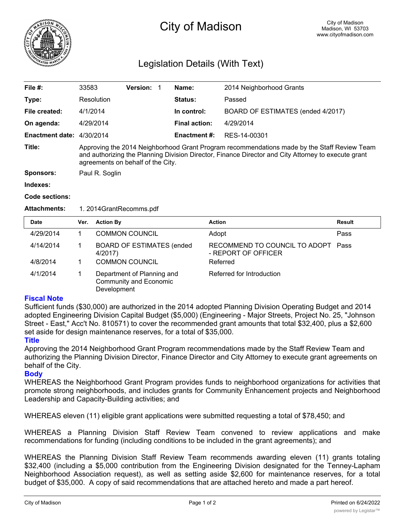

# City of Madison

## Legislation Details (With Text)

| File $#$ :                | 33583                                                                                                                                                                                                                                   | <b>Version:</b> |  | Name:                | 2014 Neighborhood Grants          |  |  |
|---------------------------|-----------------------------------------------------------------------------------------------------------------------------------------------------------------------------------------------------------------------------------------|-----------------|--|----------------------|-----------------------------------|--|--|
| Type:                     | Resolution                                                                                                                                                                                                                              |                 |  | Status:              | Passed                            |  |  |
| File created:             | 4/1/2014                                                                                                                                                                                                                                |                 |  | In control:          | BOARD OF ESTIMATES (ended 4/2017) |  |  |
| On agenda:                | 4/29/2014                                                                                                                                                                                                                               |                 |  | <b>Final action:</b> | 4/29/2014                         |  |  |
| Enactment date: 4/30/2014 |                                                                                                                                                                                                                                         |                 |  | <b>Enactment #:</b>  | RES-14-00301                      |  |  |
| Title:                    | Approving the 2014 Neighborhood Grant Program recommendations made by the Staff Review Team<br>and authorizing the Planning Division Director, Finance Director and City Attorney to execute grant<br>agreements on behalf of the City. |                 |  |                      |                                   |  |  |
| <b>Sponsors:</b>          | Paul R. Soglin                                                                                                                                                                                                                          |                 |  |                      |                                   |  |  |
| Indexes:                  |                                                                                                                                                                                                                                         |                 |  |                      |                                   |  |  |

#### **Code sections:**

#### **Attachments:** 1. 2014GrantRecomms.pdf

| <b>Date</b> | Ver. | <b>Action By</b>                                                           | <b>Action</b>                                        | <b>Result</b> |
|-------------|------|----------------------------------------------------------------------------|------------------------------------------------------|---------------|
| 4/29/2014   |      | <b>COMMON COUNCIL</b>                                                      | Adopt                                                | Pass          |
| 4/14/2014   |      | <b>BOARD OF ESTIMATES (ended</b><br>4/2017)                                | RECOMMEND TO COUNCIL TO ADOPT<br>- REPORT OF OFFICER | Pass          |
| 4/8/2014    |      | <b>COMMON COUNCIL</b>                                                      | Referred                                             |               |
| 4/1/2014    |      | Department of Planning and<br><b>Community and Economic</b><br>Development | Referred for Introduction                            |               |

### **Fiscal Note**

Sufficient funds (\$30,000) are authorized in the 2014 adopted Planning Division Operating Budget and 2014 adopted Engineering Division Capital Budget (\$5,000) (Engineering - Major Streets, Project No. 25, "Johnson Street - East," Acc't No. 810571) to cover the recommended grant amounts that total \$32,400, plus a \$2,600 set aside for design maintenance reserves, for a total of \$35,000.

#### **Title**

Approving the 2014 Neighborhood Grant Program recommendations made by the Staff Review Team and authorizing the Planning Division Director, Finance Director and City Attorney to execute grant agreements on behalf of the City.

#### **Body**

WHEREAS the Neighborhood Grant Program provides funds to neighborhood organizations for activities that promote strong neighborhoods, and includes grants for Community Enhancement projects and Neighborhood Leadership and Capacity-Building activities; and

WHEREAS eleven (11) eligible grant applications were submitted requesting a total of \$78,450; and

WHEREAS a Planning Division Staff Review Team convened to review applications and make recommendations for funding (including conditions to be included in the grant agreements); and

WHEREAS the Planning Division Staff Review Team recommends awarding eleven (11) grants totaling \$32,400 (including a \$5,000 contribution from the Engineering Division designated for the Tenney-Lapham Neighborhood Association request), as well as setting aside \$2,600 for maintenance reserves, for a total budget of \$35,000. A copy of said recommendations that are attached hereto and made a part hereof.